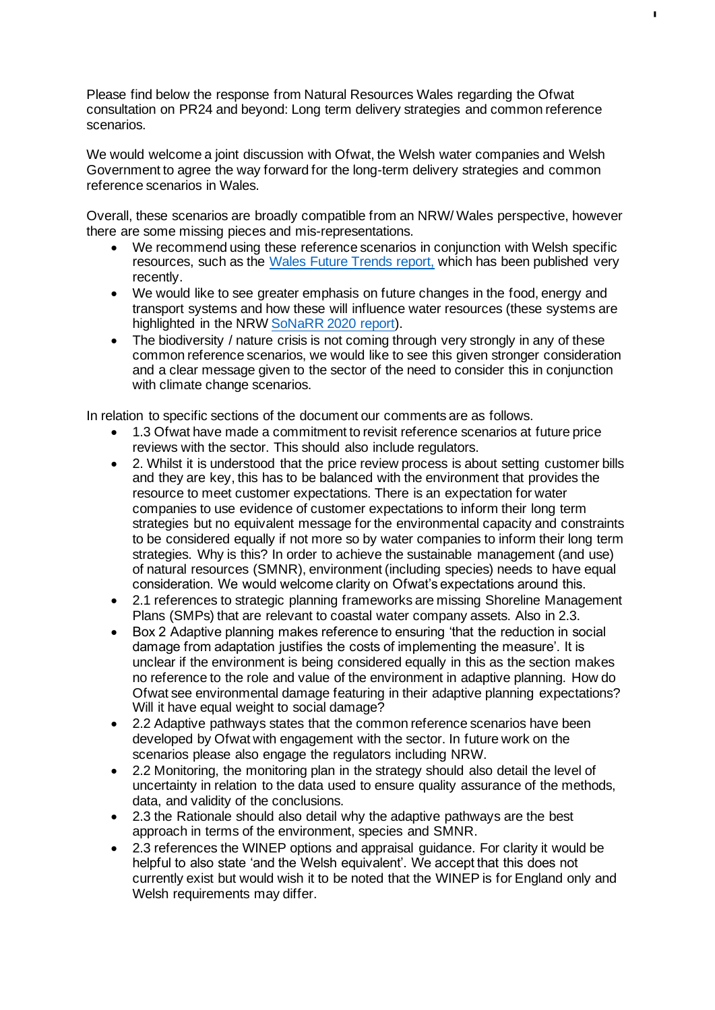Please find below the response from Natural Resources Wales regarding the Ofwat consultation on PR24 and beyond: Long term delivery strategies and common reference scenarios.

We would welcome a joint discussion with Ofwat, the Welsh water companies and Welsh Government to agree the way forward for the long-term delivery strategies and common reference scenarios in Wales.

Overall, these scenarios are broadly compatible from an NRW/ Wales perspective, however there are some missing pieces and mis-representations.

- We recommend using these reference scenarios in conjunction with Welsh specific resources, such as the [Wales Future Trends report,](https://eur03.safelinks.protection.outlook.com/?url=https%3A%2F%2Fgov.wales%2Ffuture-trends-national-indicators-and-national-milestones-consolidated-plan-for-2021-html&data=04%7C01%7CPR24%40ofwat.gov.uk%7C1e0c8b186abc4108539508d9d1610e9a%7C42a92f0e996a41b285123ed237ab8313%7C0%7C0%7C637771037810016505%7CUnknown%7CTWFpbGZsb3d8eyJWIjoiMC4wLjAwMDAiLCJQIjoiV2luMzIiLCJBTiI6Ik1haWwiLCJXVCI6Mn0%3D%7C2000&sdata=Yw%2FkECV352tzV7lfdS2xlr5okDyIubXnTP0Ykj8H9Gw%3D&reserved=0) which has been published very recently.
- We would like to see greater emphasis on future changes in the food, energy and transport systems and how these will influence water resources (these systems are highlighted in the NRW [SoNaRR 2020 report\)](https://eur03.safelinks.protection.outlook.com/?url=https%3A%2F%2Fnaturalresources.wales%2Fevidence-and-data%2Fresearch-and-reports%2Fstate-of-natural-resources-report-sonarr-for-wales-2020%2F%3Flang%3Den&data=04%7C01%7CPR24%40ofwat.gov.uk%7C1e0c8b186abc4108539508d9d1610e9a%7C42a92f0e996a41b285123ed237ab8313%7C0%7C0%7C637771037810026497%7CUnknown%7CTWFpbGZsb3d8eyJWIjoiMC4wLjAwMDAiLCJQIjoiV2luMzIiLCJBTiI6Ik1haWwiLCJXVCI6Mn0%3D%7C2000&sdata=J4Bw4DdCUOhHOpzmEw0JZXlearFIhGCswMR4qbsYwIs%3D&reserved=0).
- The biodiversity / nature crisis is not coming through very strongly in any of these common reference scenarios, we would like to see this given stronger consideration and a clear message given to the sector of the need to consider this in conjunction with climate change scenarios.

In relation to specific sections of the document our comments are as follows.

- 1.3 Ofwat have made a commitment to revisit reference scenarios at future price reviews with the sector. This should also include regulators.
- 2. Whilst it is understood that the price review process is about setting customer bills and they are key, this has to be balanced with the environment that provides the resource to meet customer expectations. There is an expectation for water companies to use evidence of customer expectations to inform their long term strategies but no equivalent message for the environmental capacity and constraints to be considered equally if not more so by water companies to inform their long term strategies. Why is this? In order to achieve the sustainable management (and use) of natural resources (SMNR), environment (including species) needs to have equal consideration. We would welcome clarity on Ofwat's expectations around this.
- 2.1 references to strategic planning frameworks are missing Shoreline Management Plans (SMPs) that are relevant to coastal water company assets. Also in 2.3.
- Box 2 Adaptive planning makes reference to ensuring 'that the reduction in social damage from adaptation justifies the costs of implementing the measure'. It is unclear if the environment is being considered equally in this as the section makes no reference to the role and value of the environment in adaptive planning. How do Ofwat see environmental damage featuring in their adaptive planning expectations? Will it have equal weight to social damage?
- 2.2 Adaptive pathways states that the common reference scenarios have been developed by Ofwat with engagement with the sector. In future work on the scenarios please also engage the regulators including NRW.
- 2.2 Monitoring, the monitoring plan in the strategy should also detail the level of uncertainty in relation to the data used to ensure quality assurance of the methods, data, and validity of the conclusions.
- 2.3 the Rationale should also detail why the adaptive pathways are the best approach in terms of the environment, species and SMNR.
- 2.3 references the WINEP options and appraisal guidance. For clarity it would be helpful to also state 'and the Welsh equivalent'. We accept that this does not currently exist but would wish it to be noted that the WINEP is for England only and Welsh requirements may differ.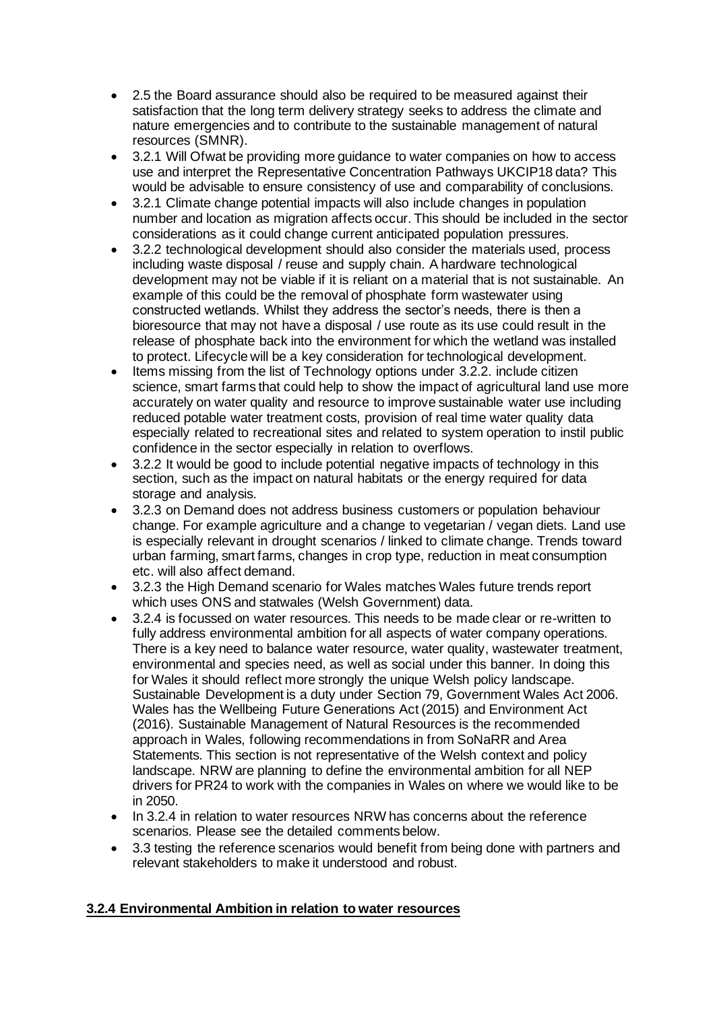- 2.5 the Board assurance should also be required to be measured against their satisfaction that the long term delivery strategy seeks to address the climate and nature emergencies and to contribute to the sustainable management of natural resources (SMNR).
- 3.2.1 Will Ofwat be providing more guidance to water companies on how to access use and interpret the Representative Concentration Pathways UKCIP18 data? This would be advisable to ensure consistency of use and comparability of conclusions.
- 3.2.1 Climate change potential impacts will also include changes in population number and location as migration affects occur. This should be included in the sector considerations as it could change current anticipated population pressures.
- 3.2.2 technological development should also consider the materials used, process including waste disposal / reuse and supply chain. A hardware technological development may not be viable if it is reliant on a material that is not sustainable. An example of this could be the removal of phosphate form wastewater using constructed wetlands. Whilst they address the sector's needs, there is then a bioresource that may not have a disposal / use route as its use could result in the release of phosphate back into the environment for which the wetland was installed to protect. Lifecycle will be a key consideration for technological development.
- Items missing from the list of Technology options under 3.2.2. include citizen science, smart farms that could help to show the impact of agricultural land use more accurately on water quality and resource to improve sustainable water use including reduced potable water treatment costs, provision of real time water quality data especially related to recreational sites and related to system operation to instil public confidence in the sector especially in relation to overflows.
- 3.2.2 It would be good to include potential negative impacts of technology in this section, such as the impact on natural habitats or the energy required for data storage and analysis.
- 3.2.3 on Demand does not address business customers or population behaviour change. For example agriculture and a change to vegetarian / vegan diets. Land use is especially relevant in drought scenarios / linked to climate change. Trends toward urban farming, smart farms, changes in crop type, reduction in meat consumption etc. will also affect demand.
- 3.2.3 the High Demand scenario for Wales matches Wales future trends report which uses ONS and statwales (Welsh Government) data.
- 3.2.4 is focussed on water resources. This needs to be made clear or re-written to fully address environmental ambition for all aspects of water company operations. There is a key need to balance water resource, water quality, wastewater treatment, environmental and species need, as well as social under this banner. In doing this for Wales it should reflect more strongly the unique Welsh policy landscape. Sustainable Development is a duty under Section 79, Government Wales Act 2006. Wales has the Wellbeing Future Generations Act (2015) and Environment Act (2016). Sustainable Management of Natural Resources is the recommended approach in Wales, following recommendations in from SoNaRR and Area Statements. This section is not representative of the Welsh context and policy landscape. NRW are planning to define the environmental ambition for all NEP drivers for PR24 to work with the companies in Wales on where we would like to be in 2050.
- In 3.2.4 in relation to water resources NRW has concerns about the reference scenarios. Please see the detailed comments below.
- 3.3 testing the reference scenarios would benefit from being done with partners and relevant stakeholders to make it understood and robust.

# **3.2.4 Environmental Ambition in relation to water resources**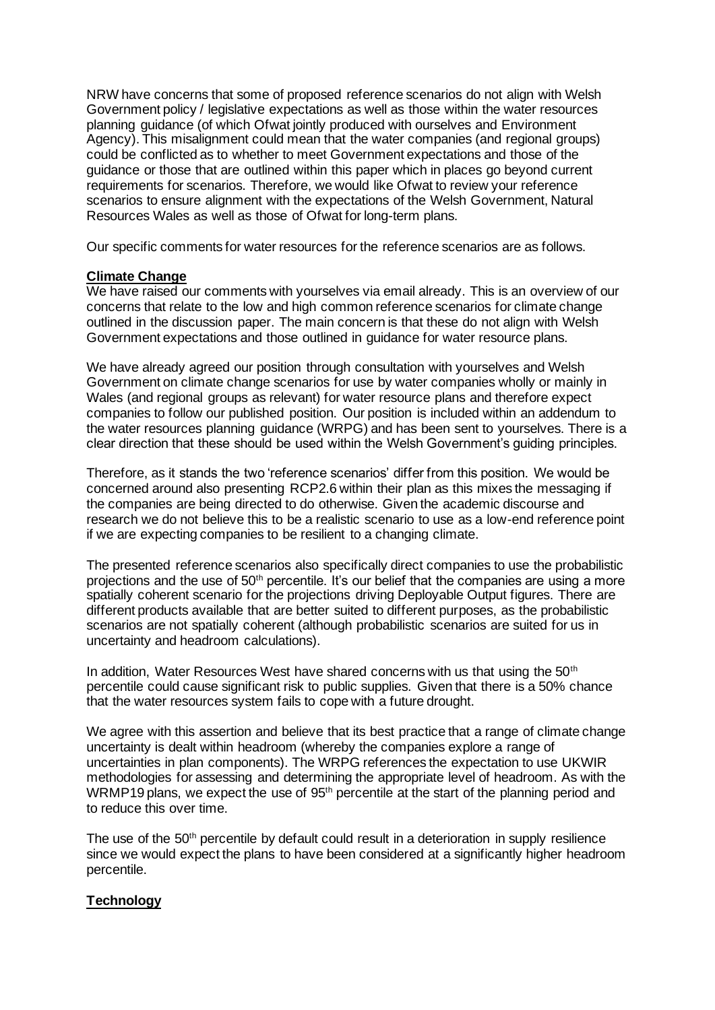NRW have concerns that some of proposed reference scenarios do not align with Welsh Government policy / legislative expectations as well as those within the water resources planning guidance (of which Ofwat jointly produced with ourselves and Environment Agency). This misalignment could mean that the water companies (and regional groups) could be conflicted as to whether to meet Government expectations and those of the guidance or those that are outlined within this paper which in places go beyond current requirements for scenarios. Therefore, we would like Ofwat to review your reference scenarios to ensure alignment with the expectations of the Welsh Government, Natural Resources Wales as well as those of Ofwat for long-term plans.

Our specific comments for water resources for the reference scenarios are as follows.

#### **Climate Change**

We have raised our comments with yourselves via email already. This is an overview of our concerns that relate to the low and high common reference scenarios for climate change outlined in the discussion paper. The main concern is that these do not align with Welsh Government expectations and those outlined in guidance for water resource plans.

We have already agreed our position through consultation with yourselves and Welsh Government on climate change scenarios for use by water companies wholly or mainly in Wales (and regional groups as relevant) for water resource plans and therefore expect companies to follow our published position. Our position is included within an addendum to the water resources planning guidance (WRPG) and has been sent to yourselves. There is a clear direction that these should be used within the Welsh Government's guiding principles.

Therefore, as it stands the two 'reference scenarios' differ from this position. We would be concerned around also presenting RCP2.6 within their plan as this mixes the messaging if the companies are being directed to do otherwise. Given the academic discourse and research we do not believe this to be a realistic scenario to use as a low-end reference point if we are expecting companies to be resilient to a changing climate.

The presented reference scenarios also specifically direct companies to use the probabilistic projections and the use of 50th percentile. It's our belief that the companies are using a more spatially coherent scenario for the projections driving Deployable Output figures. There are different products available that are better suited to different purposes, as the probabilistic scenarios are not spatially coherent (although probabilistic scenarios are suited for us in uncertainty and headroom calculations).

In addition, Water Resources West have shared concerns with us that using the 50<sup>th</sup> percentile could cause significant risk to public supplies. Given that there is a 50% chance that the water resources system fails to cope with a future drought.

We agree with this assertion and believe that its best practice that a range of climate change uncertainty is dealt within headroom (whereby the companies explore a range of uncertainties in plan components). The WRPG references the expectation to use UKWIR methodologies for assessing and determining the appropriate level of headroom. As with the WRMP19 plans, we expect the use of 95<sup>th</sup> percentile at the start of the planning period and to reduce this over time.

The use of the 50<sup>th</sup> percentile by default could result in a deterioration in supply resilience since we would expect the plans to have been considered at a significantly higher headroom percentile.

## **Technology**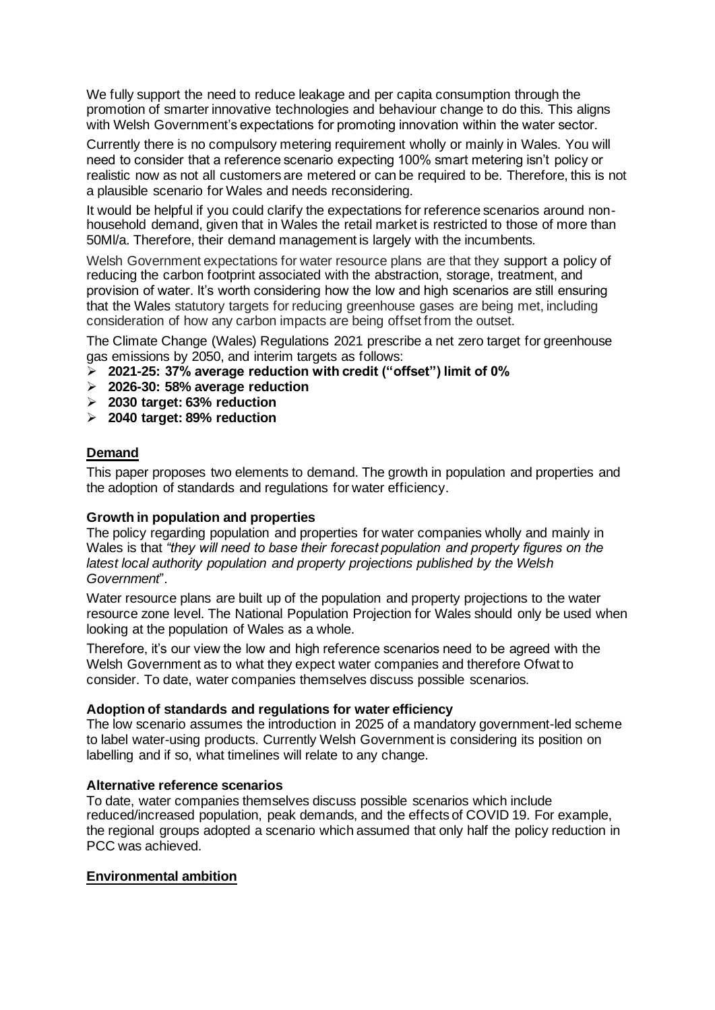We fully support the need to reduce leakage and per capita consumption through the promotion of smarter innovative technologies and behaviour change to do this. This aligns with Welsh Government's expectations for promoting innovation within the water sector.

Currently there is no compulsory metering requirement wholly or mainly in Wales. You will need to consider that a reference scenario expecting 100% smart metering isn't policy or realistic now as not all customers are metered or can be required to be. Therefore, this is not a plausible scenario for Wales and needs reconsidering.

It would be helpful if you could clarify the expectations for reference scenarios around nonhousehold demand, given that in Wales the retail market is restricted to those of more than 50Ml/a. Therefore, their demand management is largely with the incumbents.

Welsh Government expectations for water resource plans are that they support a policy of reducing the carbon footprint associated with the abstraction, storage, treatment, and provision of water. It's worth considering how the low and high scenarios are still ensuring that the Wales statutory targets for reducing greenhouse gases are being met, including consideration of how any carbon impacts are being offset from the outset.

The Climate Change (Wales) Regulations 2021 prescribe a net zero target for greenhouse gas emissions by 2050, and interim targets as follows:

- ➢ **2021-25: 37% average reduction with credit ("offset") limit of 0%**
- ➢ **2026-30: 58% average reduction**
- ➢ **2030 target: 63% reduction**
- ➢ **2040 target: 89% reduction**

## **Demand**

This paper proposes two elements to demand. The growth in population and properties and the adoption of standards and regulations for water efficiency.

## **Growth in population and properties**

The policy regarding population and properties for water companies wholly and mainly in Wales is that *"they will need to base their forecast population and property figures on the latest local authority population and property projections published by the Welsh Government*".

Water resource plans are built up of the population and property projections to the water resource zone level. The National Population Projection for Wales should only be used when looking at the population of Wales as a whole.

Therefore, it's our view the low and high reference scenarios need to be agreed with the Welsh Government as to what they expect water companies and therefore Ofwat to consider. To date, water companies themselves discuss possible scenarios.

#### **Adoption of standards and regulations for water efficiency**

The low scenario assumes the introduction in 2025 of a mandatory government-led scheme to label water-using products. Currently Welsh Government is considering its position on labelling and if so, what timelines will relate to any change.

## **Alternative reference scenarios**

To date, water companies themselves discuss possible scenarios which include reduced/increased population, peak demands, and the effects of COVID 19. For example, the regional groups adopted a scenario which assumed that only half the policy reduction in PCC was achieved.

## **Environmental ambition**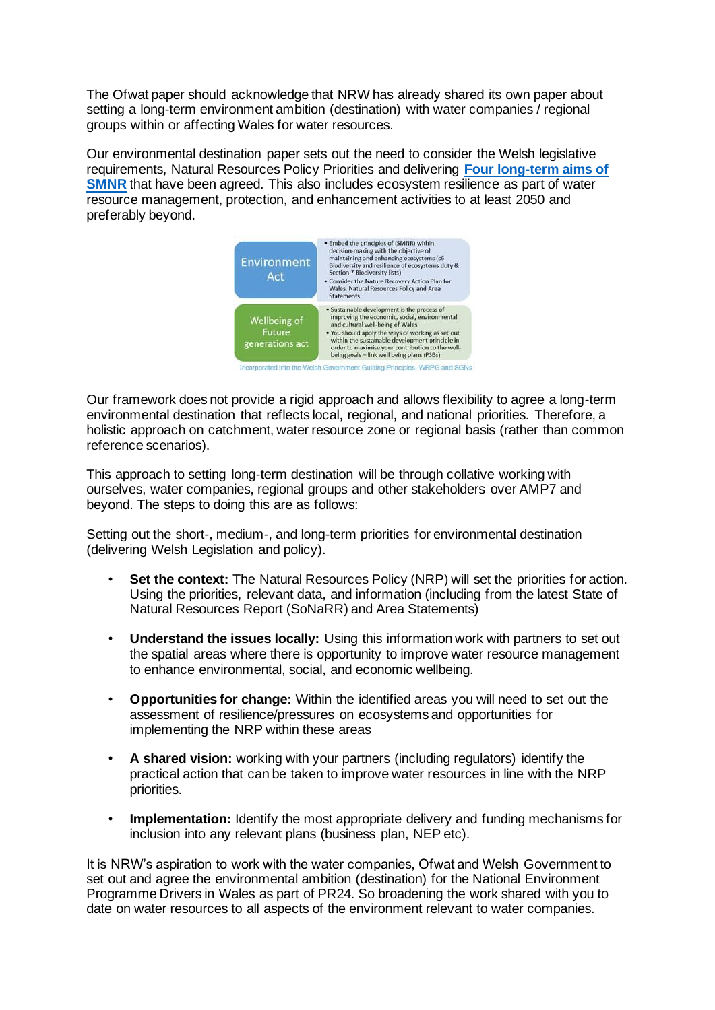The Ofwat paper should acknowledge that NRW has already shared its own paper about setting a long-term environment ambition (destination) with water companies / regional groups within or affecting Wales for water resources.

Our environmental destination paper sets out the need to consider the Welsh legislative requirements, Natural Resources Policy Priorities and delivering **[Four long-term aims of](https://eur03.safelinks.protection.outlook.com/?url=https%3A%2F%2Fnaturalresources.wales%2Fevidence-and-data%2Fresearch-and-reports%2Fstate-of-natural-resources-report-sonarr-for-wales-2020%2Fsonarr2020-our-assessment%2F&data=04%7C01%7CPR24%40ofwat.gov.uk%7C1e0c8b186abc4108539508d9d1610e9a%7C42a92f0e996a41b285123ed237ab8313%7C0%7C0%7C637771037810026497%7CUnknown%7CTWFpbGZsb3d8eyJWIjoiMC4wLjAwMDAiLCJQIjoiV2luMzIiLCJBTiI6Ik1haWwiLCJXVCI6Mn0%3D%7C2000&sdata=sYQfGdPvmgCQB%2FDYds6YzqeaXq76e2pnF%2BuRd3t7OoQ%3D&reserved=0)  [SMNR](https://eur03.safelinks.protection.outlook.com/?url=https%3A%2F%2Fnaturalresources.wales%2Fevidence-and-data%2Fresearch-and-reports%2Fstate-of-natural-resources-report-sonarr-for-wales-2020%2Fsonarr2020-our-assessment%2F&data=04%7C01%7CPR24%40ofwat.gov.uk%7C1e0c8b186abc4108539508d9d1610e9a%7C42a92f0e996a41b285123ed237ab8313%7C0%7C0%7C637771037810026497%7CUnknown%7CTWFpbGZsb3d8eyJWIjoiMC4wLjAwMDAiLCJQIjoiV2luMzIiLCJBTiI6Ik1haWwiLCJXVCI6Mn0%3D%7C2000&sdata=sYQfGdPvmgCQB%2FDYds6YzqeaXq76e2pnF%2BuRd3t7OoQ%3D&reserved=0)** that have been agreed. This also includes ecosystem resilience as part of water resource management, protection, and enhancement activities to at least 2050 and preferably beyond.



Our framework does not provide a rigid approach and allows flexibility to agree a long-term environmental destination that reflects local, regional, and national priorities. Therefore, a holistic approach on catchment, water resource zone or regional basis (rather than common reference scenarios).

This approach to setting long-term destination will be through collative working with ourselves, water companies, regional groups and other stakeholders over AMP7 and beyond. The steps to doing this are as follows:

Setting out the short-, medium-, and long-term priorities for environmental destination (delivering Welsh Legislation and policy).

- **Set the context:** The Natural Resources Policy (NRP) will set the priorities for action. Using the priorities, relevant data, and information (including from the latest State of Natural Resources Report (SoNaRR) and Area Statements)
- **Understand the issues locally:** Using this information work with partners to set out the spatial areas where there is opportunity to improve water resource management to enhance environmental, social, and economic wellbeing.
- **Opportunities for change:** Within the identified areas you will need to set out the assessment of resilience/pressures on ecosystems and opportunities for implementing the NRP within these areas
- **A shared vision:** working with your partners (including regulators) identify the practical action that can be taken to improve water resources in line with the NRP priorities.
- **Implementation:** Identify the most appropriate delivery and funding mechanisms for inclusion into any relevant plans (business plan, NEP etc).

It is NRW's aspiration to work with the water companies, Ofwat and Welsh Government to set out and agree the environmental ambition (destination) for the National Environment Programme Drivers in Wales as part of PR24. So broadening the work shared with you to date on water resources to all aspects of the environment relevant to water companies.